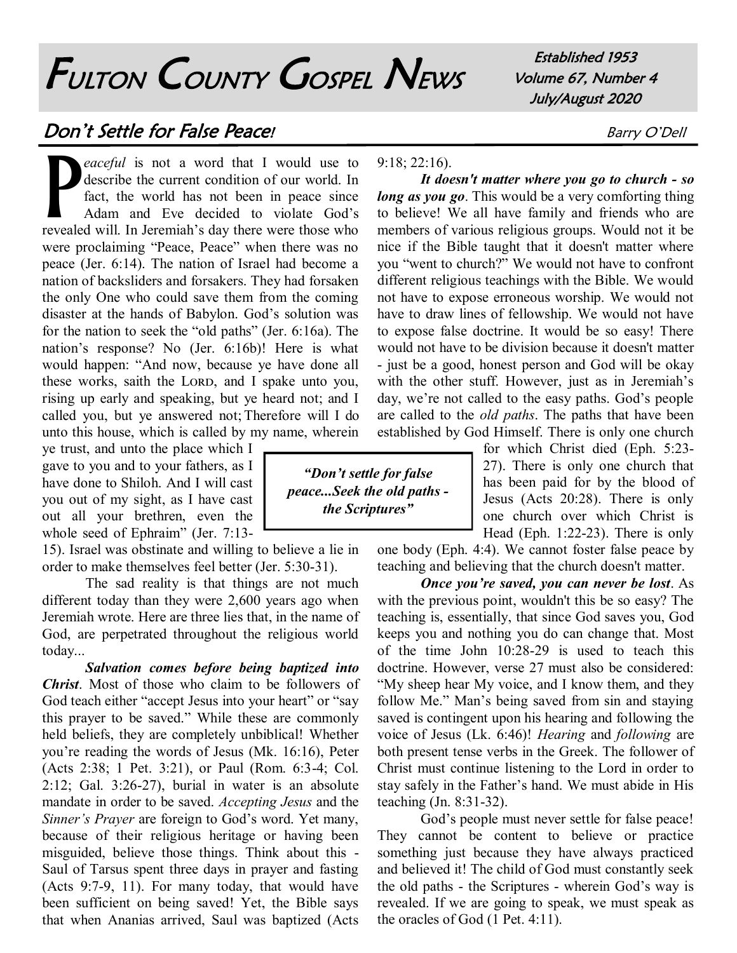## FULTON COUNTY GOSPEL NEWS

Established 1953 Volume 67, Number 4 July/August 2020

## **Don't Settle for False Peace!** Barry O'Dell

P *eaceful* is not a word that I would use to describe the current condition of our world. In fact, the world has not been in peace since Adam and Eve decided to violate God's revealed will. In Jeremiah's day there were those who were proclaiming "Peace, Peace" when there was no peace (Jer. 6:14). The nation of Israel had become a nation of backsliders and forsakers. They had forsaken the only One who could save them from the coming disaster at the hands of Babylon. God's solution was for the nation to seek the "old paths" (Jer. 6:16a). The nation's response? No (Jer. 6:16b)! Here is what would happen: "And now, because ye have done all these works, saith the LORD, and I spake unto you, rising up early and speaking, but ye heard not; and I called you, but ye answered not; Therefore will I do unto this house, which is called by my name, wherein

ye trust, and unto the place which I gave to you and to your fathers, as I have done to Shiloh. And I will cast you out of my sight, as I have cast out all your brethren, even the whole seed of Ephraim" (Jer. 7:13-

15). Israel was obstinate and willing to believe a lie in order to make themselves feel better (Jer. 5:30-31).

The sad reality is that things are not much different today than they were 2,600 years ago when Jeremiah wrote. Here are three lies that, in the name of God, are perpetrated throughout the religious world today...

*Salvation comes before being baptized into Christ*. Most of those who claim to be followers of God teach either "accept Jesus into your heart" or "say this prayer to be saved." While these are commonly held beliefs, they are completely unbiblical! Whether you're reading the words of Jesus (Mk. 16:16), Peter (Acts 2:38; 1 Pet. 3:21), or Paul (Rom. 6:3-4; Col. 2:12; Gal. 3:26-27), burial in water is an absolute mandate in order to be saved. *Accepting Jesus* and the *Sinner's Prayer* are foreign to God's word. Yet many, because of their religious heritage or having been misguided, believe those things. Think about this - Saul of Tarsus spent three days in prayer and fasting (Acts 9:7-9, 11). For many today, that would have been sufficient on being saved! Yet, the Bible says that when Ananias arrived, Saul was baptized (Acts

*"Don't settle for false peace...Seek the old paths the Scriptures"*

9:18; 22:16).

*It doesn't matter where you go to church - so long as you go*. This would be a very comforting thing to believe! We all have family and friends who are members of various religious groups. Would not it be nice if the Bible taught that it doesn't matter where you "went to church?" We would not have to confront different religious teachings with the Bible. We would not have to expose erroneous worship. We would not have to draw lines of fellowship. We would not have to expose false doctrine. It would be so easy! There would not have to be division because it doesn't matter - just be a good, honest person and God will be okay with the other stuff. However, just as in Jeremiah's day, we're not called to the easy paths. God's people are called to the *old paths*. The paths that have been established by God Himself. There is only one church

> for which Christ died (Eph. 5:23- 27). There is only one church that has been paid for by the blood of Jesus (Acts 20:28). There is only one church over which Christ is Head (Eph. 1:22-23). There is only

one body (Eph. 4:4). We cannot foster false peace by teaching and believing that the church doesn't matter.

*Once you're saved, you can never be lost*. As with the previous point, wouldn't this be so easy? The teaching is, essentially, that since God saves you, God keeps you and nothing you do can change that. Most of the time John 10:28-29 is used to teach this doctrine. However, verse 27 must also be considered: "My sheep hear My voice, and I know them, and they follow Me." Man's being saved from sin and staying saved is contingent upon his hearing and following the voice of Jesus (Lk. 6:46)! *Hearing* and *following* are both present tense verbs in the Greek. The follower of Christ must continue listening to the Lord in order to stay safely in the Father's hand. We must abide in His teaching (Jn. 8:31-32).

God's people must never settle for false peace! They cannot be content to believe or practice something just because they have always practiced and believed it! The child of God must constantly seek the old paths - the Scriptures - wherein God's way is revealed. If we are going to speak, we must speak as the oracles of God (1 Pet. 4:11).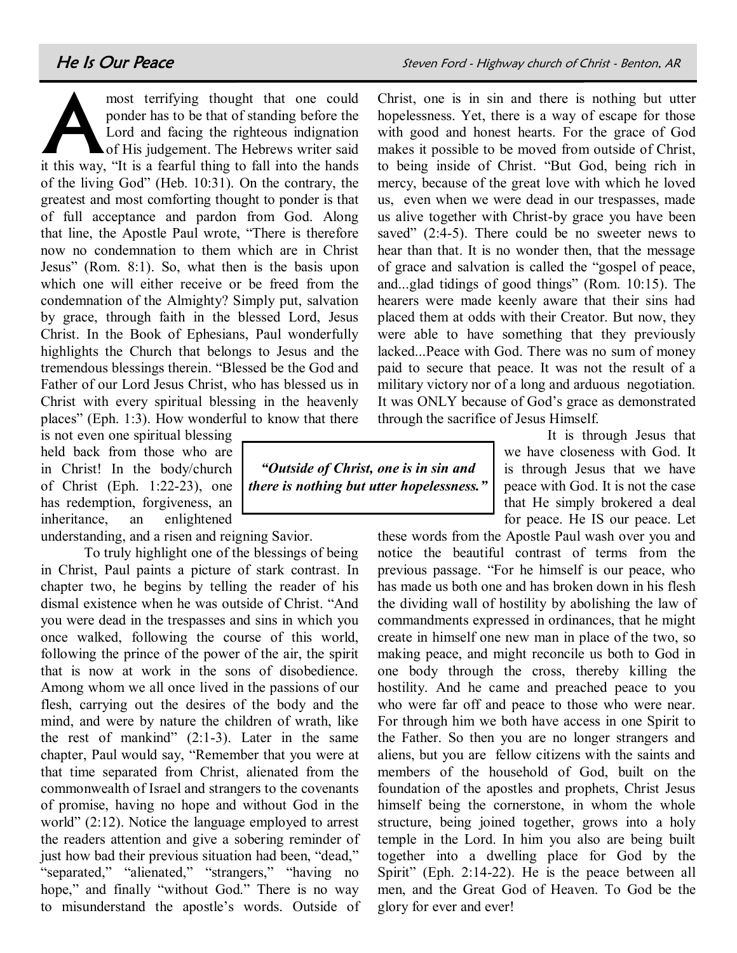A most terrifying thought that one could ponder has to be that of standing before the Lord and facing the righteous indignation of His judgement. The Hebrews writer said it this way, "It is a fearful thing to fall into the hands of the living God" (Heb. 10:31). On the contrary, the greatest and most comforting thought to ponder is that of full acceptance and pardon from God. Along that line, the Apostle Paul wrote, "There is therefore now no condemnation to them which are in Christ Jesus" (Rom. 8:1). So, what then is the basis upon which one will either receive or be freed from the condemnation of the Almighty? Simply put, salvation by grace, through faith in the blessed Lord, Jesus Christ. In the Book of Ephesians, Paul wonderfully highlights the Church that belongs to Jesus and the tremendous blessings therein. "Blessed be the God and Father of our Lord Jesus Christ, who has blessed us in Christ with every spiritual blessing in the heavenly places" (Eph. 1:3). How wonderful to know that there

is not even one spiritual blessing held back from those who are in Christ! In the body/church of Christ (Eph. 1:22-23), one has redemption, forgiveness, an inheritance, an enlightened

understanding, and a risen and reigning Savior.

To truly highlight one of the blessings of being in Christ, Paul paints a picture of stark contrast. In chapter two, he begins by telling the reader of his dismal existence when he was outside of Christ. "And you were dead in the trespasses and sins in which you once walked, following the course of this world, following the prince of the power of the air, the spirit that is now at work in the sons of disobedience. Among whom we all once lived in the passions of our flesh, carrying out the desires of the body and the mind, and were by nature the children of wrath, like the rest of mankind"  $(2:1-3)$ . Later in the same chapter, Paul would say, "Remember that you were at that time separated from Christ, alienated from the commonwealth of Israel and strangers to the covenants of promise, having no hope and without God in the world" (2:12). Notice the language employed to arrest the readers attention and give a sobering reminder of just how bad their previous situation had been, "dead," "separated," "alienated," "strangers," "having no hope," and finally "without God." There is no way to misunderstand the apostle's words. Outside of Christ, one is in sin and there is nothing but utter hopelessness. Yet, there is a way of escape for those with good and honest hearts. For the grace of God makes it possible to be moved from outside of Christ, to being inside of Christ. "But God, being rich in mercy, because of the great love with which he loved us, even when we were dead in our trespasses, made us alive together with Christ-by grace you have been saved" (2:4-5). There could be no sweeter news to hear than that. It is no wonder then, that the message of grace and salvation is called the "gospel of peace, and...glad tidings of good things" (Rom. 10:15). The hearers were made keenly aware that their sins had placed them at odds with their Creator. But now, they were able to have something that they previously lacked...Peace with God. There was no sum of money paid to secure that peace. It was not the result of a military victory nor of a long and arduous negotiation. It was ONLY because of God's grace as demonstrated through the sacrifice of Jesus Himself.

It is through Jesus that we have closeness with God. It is through Jesus that we have peace with God. It is not the case that He simply brokered a deal for peace. He IS our peace. Let

these words from the Apostle Paul wash over you and notice the beautiful contrast of terms from the previous passage. "For he himself is our peace, who has made us both one and has broken down in his flesh the dividing wall of hostility by abolishing the law of commandments expressed in ordinances, that he might create in himself one new man in place of the two, so making peace, and might reconcile us both to God in one body through the cross, thereby killing the hostility. And he came and preached peace to you who were far off and peace to those who were near. For through him we both have access in one Spirit to the Father. So then you are no longer strangers and aliens, but you are fellow citizens with the saints and members of the household of God, built on the foundation of the apostles and prophets, Christ Jesus himself being the cornerstone, in whom the whole structure, being joined together, grows into a holy temple in the Lord. In him you also are being built together into a dwelling place for God by the Spirit" (Eph. 2:14-22). He is the peace between all men, and the Great God of Heaven. To God be the glory for ever and ever!

*"Outside of Christ, one is in sin and there is nothing but utter hopelessness."*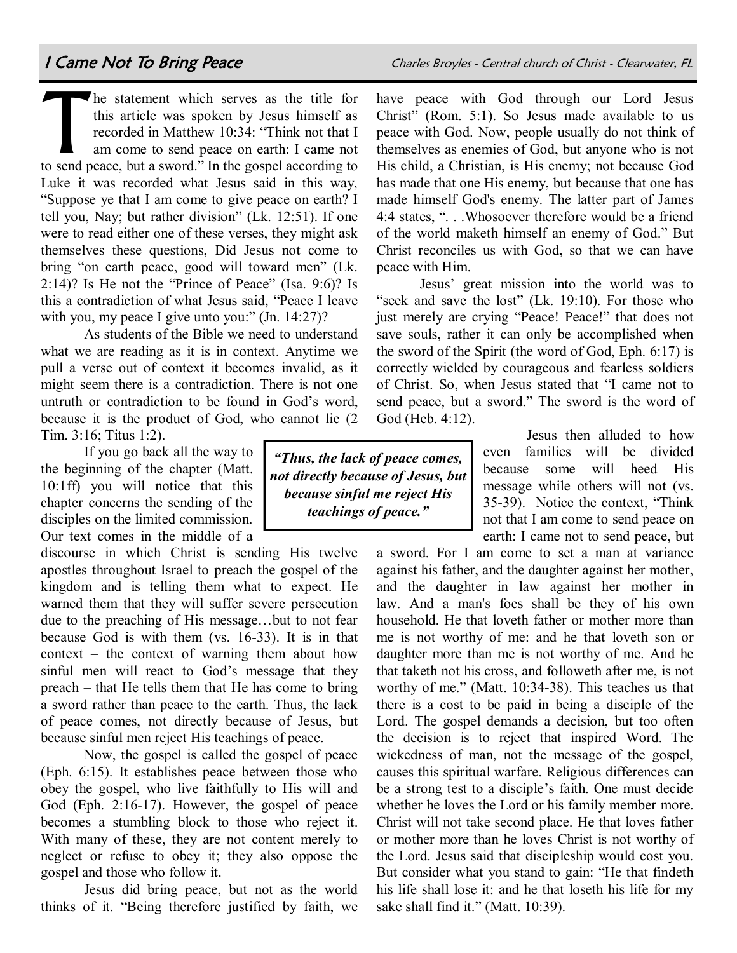have peace with God through our Lord Jesus Christ" (Rom. 5:1). So Jesus made available to us

 $\prod$ he statement which serves as the title for this article was spoken by Jesus himself as recorded in Matthew 10:34: "Think not that I am come to send peace on earth: I came not to send peace, but a sword." In the gospel according to Luke it was recorded what Jesus said in this way, "Suppose ye that I am come to give peace on earth? I tell you, Nay; but rather division" (Lk. 12:51). If one were to read either one of these verses, they might ask themselves these questions, Did Jesus not come to bring "on earth peace, good will toward men" (Lk. 2:14)? Is He not the "Prince of Peace" (Isa. 9:6)? Is this a contradiction of what Jesus said, "Peace I leave with you, my peace I give unto you:" (Jn. 14:27)?

As students of the Bible we need to understand what we are reading as it is in context. Anytime we pull a verse out of context it becomes invalid, as it might seem there is a contradiction. There is not one untruth or contradiction to be found in God's word, because it is the product of God, who cannot lie (2 Tim. 3:16; Titus 1:2).

If you go back all the way to the beginning of the chapter (Matt. 10:1ff) you will notice that this chapter concerns the sending of the disciples on the limited commission. Our text comes in the middle of a

discourse in which Christ is sending His twelve apostles throughout Israel to preach the gospel of the kingdom and is telling them what to expect. He warned them that they will suffer severe persecution due to the preaching of His message…but to not fear because God is with them (vs. 16-33). It is in that context – the context of warning them about how sinful men will react to God's message that they preach – that He tells them that He has come to bring a sword rather than peace to the earth. Thus, the lack of peace comes, not directly because of Jesus, but because sinful men reject His teachings of peace.

Now, the gospel is called the gospel of peace (Eph. 6:15). It establishes peace between those who obey the gospel, who live faithfully to His will and God (Eph. 2:16-17). However, the gospel of peace becomes a stumbling block to those who reject it. With many of these, they are not content merely to neglect or refuse to obey it; they also oppose the gospel and those who follow it.

Jesus did bring peace, but not as the world thinks of it. "Being therefore justified by faith, we

peace with God. Now, people usually do not think of themselves as enemies of God, but anyone who is not His child, a Christian, is His enemy; not because God has made that one His enemy, but because that one has made himself God's enemy. The latter part of James 4:4 states, ". . .Whosoever therefore would be a friend of the world maketh himself an enemy of God." But Christ reconciles us with God, so that we can have peace with Him.

Jesus' great mission into the world was to "seek and save the lost" (Lk. 19:10). For those who just merely are crying "Peace! Peace!" that does not save souls, rather it can only be accomplished when the sword of the Spirit (the word of God, Eph. 6:17) is correctly wielded by courageous and fearless soldiers of Christ. So, when Jesus stated that "I came not to send peace, but a sword." The sword is the word of God (Heb. 4:12).

> Jesus then alluded to how even families will be divided because some will heed His message while others will not (vs. 35-39). Notice the context, "Think not that I am come to send peace on earth: I came not to send peace, but

a sword. For I am come to set a man at variance against his father, and the daughter against her mother, and the daughter in law against her mother in law. And a man's foes shall be they of his own household. He that loveth father or mother more than me is not worthy of me: and he that loveth son or daughter more than me is not worthy of me. And he that taketh not his cross, and followeth after me, is not worthy of me." (Matt. 10:34-38). This teaches us that there is a cost to be paid in being a disciple of the Lord. The gospel demands a decision, but too often the decision is to reject that inspired Word. The wickedness of man, not the message of the gospel, causes this spiritual warfare. Religious differences can be a strong test to a disciple's faith. One must decide whether he loves the Lord or his family member more. Christ will not take second place. He that loves father or mother more than he loves Christ is not worthy of the Lord. Jesus said that discipleship would cost you. But consider what you stand to gain: "He that findeth his life shall lose it: and he that loseth his life for my sake shall find it." (Matt. 10:39).

*"Thus, the lack of peace comes, not directly because of Jesus, but because sinful me reject His teachings of peace."*